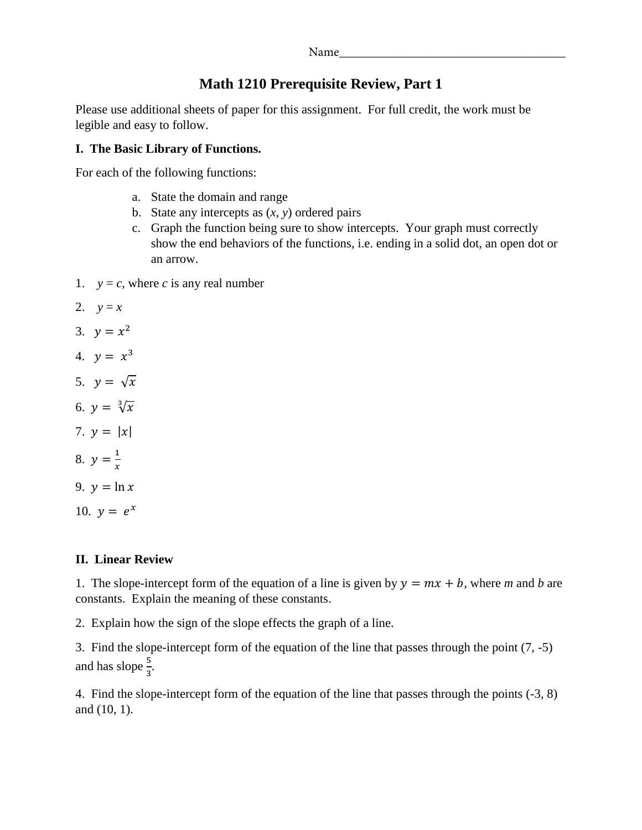| Name |  |  |  |
|------|--|--|--|
|      |  |  |  |

## **Math 1210 Prerequisite Review, Part 1**

Please use additional sheets of paper for this assignment. For full credit, the work must be legible and easy to follow.

## **I. The Basic Library of Functions.**

For each of the following functions:

- a. State the domain and range
- b. State any intercepts as  $(x, y)$  ordered pairs
- c. Graph the function being sure to show intercepts. Your graph must correctly show the end behaviors of the functions, i.e. ending in a solid dot, an open dot or an arrow.
- 1.  $y = c$ , where *c* is any real number
- 2.  $y = x$
- 3.  $v = x^2$
- 4.  $y = x^3$
- 5.  $y = \sqrt{x}$
- 6.  $y = \sqrt[3]{x}$
- 7.  $y = |x|$
- 8.  $y = \frac{1}{x}$
- 9.  $y = \ln x$

 $\mathcal{X}$ 

10.  $y = e^x$ 

## **II. Linear Review**

1. The slope-intercept form of the equation of a line is given by  $y = mx + b$ , where *m* and *b* are constants. Explain the meaning of these constants.

2. Explain how the sign of the slope effects the graph of a line.

3. Find the slope-intercept form of the equation of the line that passes through the point (7, -5) and has slope  $\frac{5}{3}$ .

4. Find the slope-intercept form of the equation of the line that passes through the points (-3, 8) and (10, 1).